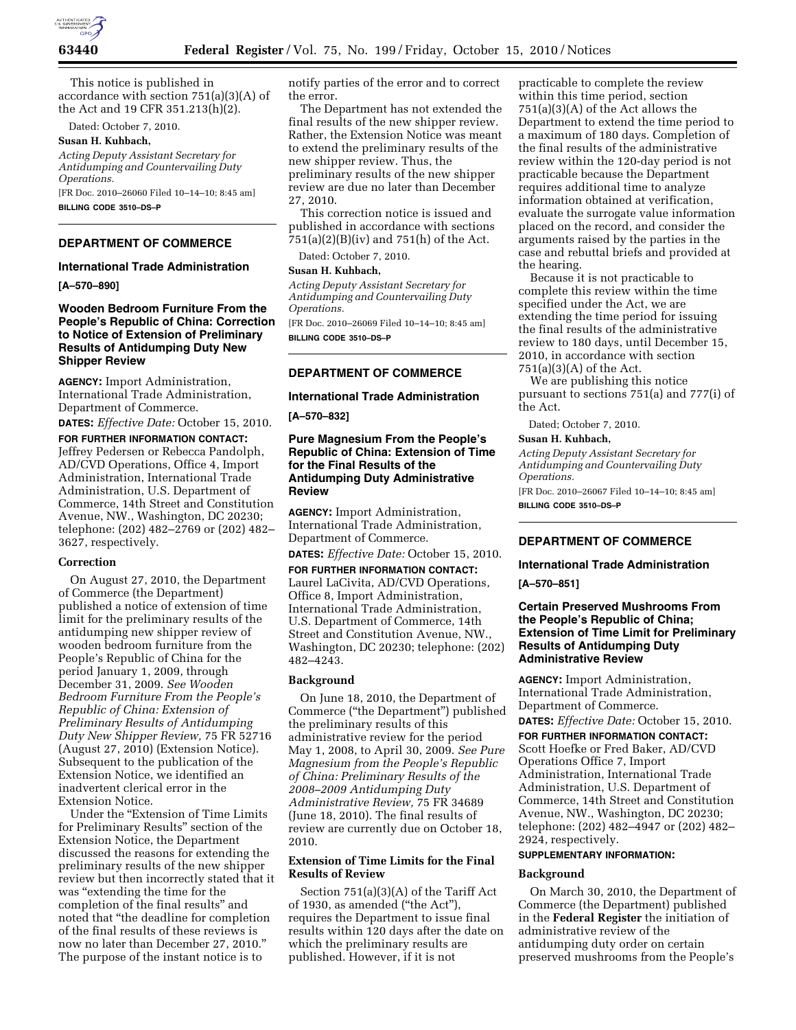

This notice is published in accordance with section 751(a)(3)(A) of the Act and 19 CFR 351.213(h)(2).

Dated: October 7, 2010.

### **Susan H. Kuhbach,**

*Acting Deputy Assistant Secretary for Antidumping and Countervailing Duty Operations.*  [FR Doc. 2010–26060 Filed 10–14–10; 8:45 am]

**BILLING CODE 3510–DS–P** 

## **DEPARTMENT OF COMMERCE**

#### **International Trade Administration**

**[A–570–890]** 

## **Wooden Bedroom Furniture From the People's Republic of China: Correction to Notice of Extension of Preliminary Results of Antidumping Duty New Shipper Review**

**AGENCY:** Import Administration, International Trade Administration, Department of Commerce.

**DATES:** *Effective Date:* October 15, 2010.

**FOR FURTHER INFORMATION CONTACT:**  Jeffrey Pedersen or Rebecca Pandolph, AD/CVD Operations, Office 4, Import Administration, International Trade Administration, U.S. Department of Commerce, 14th Street and Constitution Avenue, NW., Washington, DC 20230; telephone: (202) 482–2769 or (202) 482– 3627, respectively.

#### **Correction**

On August 27, 2010, the Department of Commerce (the Department) published a notice of extension of time limit for the preliminary results of the antidumping new shipper review of wooden bedroom furniture from the People's Republic of China for the period January 1, 2009, through December 31, 2009. *See Wooden Bedroom Furniture From the People's Republic of China: Extension of Preliminary Results of Antidumping Duty New Shipper Review,* 75 FR 52716 (August 27, 2010) (Extension Notice). Subsequent to the publication of the Extension Notice, we identified an inadvertent clerical error in the Extension Notice.

Under the ''Extension of Time Limits for Preliminary Results'' section of the Extension Notice, the Department discussed the reasons for extending the preliminary results of the new shipper review but then incorrectly stated that it was ''extending the time for the completion of the final results'' and noted that ''the deadline for completion of the final results of these reviews is now no later than December 27, 2010.'' The purpose of the instant notice is to

notify parties of the error and to correct the error.

The Department has not extended the final results of the new shipper review. Rather, the Extension Notice was meant to extend the preliminary results of the new shipper review. Thus, the preliminary results of the new shipper review are due no later than December 27, 2010.

This correction notice is issued and published in accordance with sections 751(a)(2)(B)(iv) and 751(h) of the Act.

Dated: October 7, 2010.

## **Susan H. Kuhbach,**

*Acting Deputy Assistant Secretary for Antidumping and Countervailing Duty Operations.* 

[FR Doc. 2010–26069 Filed 10–14–10; 8:45 am] **BILLING CODE 3510–DS–P** 

## **DEPARTMENT OF COMMERCE**

#### **International Trade Administration**

**[A–570–832]** 

## **Pure Magnesium From the People's Republic of China: Extension of Time for the Final Results of the Antidumping Duty Administrative Review**

**AGENCY:** Import Administration, International Trade Administration, Department of Commerce.

**DATES:** *Effective Date:* October 15, 2010.

**FOR FURTHER INFORMATION CONTACT:**  Laurel LaCivita, AD/CVD Operations, Office 8, Import Administration, International Trade Administration, U.S. Department of Commerce, 14th Street and Constitution Avenue, NW., Washington, DC 20230; telephone: (202) 482–4243.

### **Background**

On June 18, 2010, the Department of Commerce (''the Department'') published the preliminary results of this administrative review for the period May 1, 2008, to April 30, 2009. *See Pure Magnesium from the People's Republic of China: Preliminary Results of the 2008–2009 Antidumping Duty Administrative Review,* 75 FR 34689 (June 18, 2010). The final results of review are currently due on October 18, 2010.

### **Extension of Time Limits for the Final Results of Review**

Section 751(a)(3)(A) of the Tariff Act of 1930, as amended (''the Act''), requires the Department to issue final results within 120 days after the date on which the preliminary results are published. However, if it is not

practicable to complete the review within this time period, section 751(a)(3)(A) of the Act allows the Department to extend the time period to a maximum of 180 days. Completion of the final results of the administrative review within the 120-day period is not practicable because the Department requires additional time to analyze information obtained at verification, evaluate the surrogate value information placed on the record, and consider the arguments raised by the parties in the case and rebuttal briefs and provided at the hearing.

Because it is not practicable to complete this review within the time specified under the Act, we are extending the time period for issuing the final results of the administrative review to 180 days, until December 15, 2010, in accordance with section 751(a)(3)(A) of the Act.

We are publishing this notice pursuant to sections 751(a) and 777(i) of the Act.

Dated; October 7, 2010.

#### **Susan H. Kuhbach,**

*Acting Deputy Assistant Secretary for Antidumping and Countervailing Duty Operations.* 

[FR Doc. 2010–26067 Filed 10–14–10; 8:45 am] **BILLING CODE 3510–DS–P** 

#### **DEPARTMENT OF COMMERCE**

#### **International Trade Administration**

**[A–570–851]** 

## **Certain Preserved Mushrooms From the People's Republic of China; Extension of Time Limit for Preliminary Results of Antidumping Duty Administrative Review**

**AGENCY:** Import Administration, International Trade Administration, Department of Commerce.

**DATES:** *Effective Date:* October 15, 2010.

**FOR FURTHER INFORMATION CONTACT:**  Scott Hoefke or Fred Baker, AD/CVD Operations Office 7, Import Administration, International Trade Administration, U.S. Department of Commerce, 14th Street and Constitution Avenue, NW., Washington, DC 20230; telephone: (202) 482–4947 or (202) 482– 2924, respectively.

### **SUPPLEMENTARY INFORMATION:**

#### **Background**

On March 30, 2010, the Department of Commerce (the Department) published in the **Federal Register** the initiation of administrative review of the antidumping duty order on certain preserved mushrooms from the People's